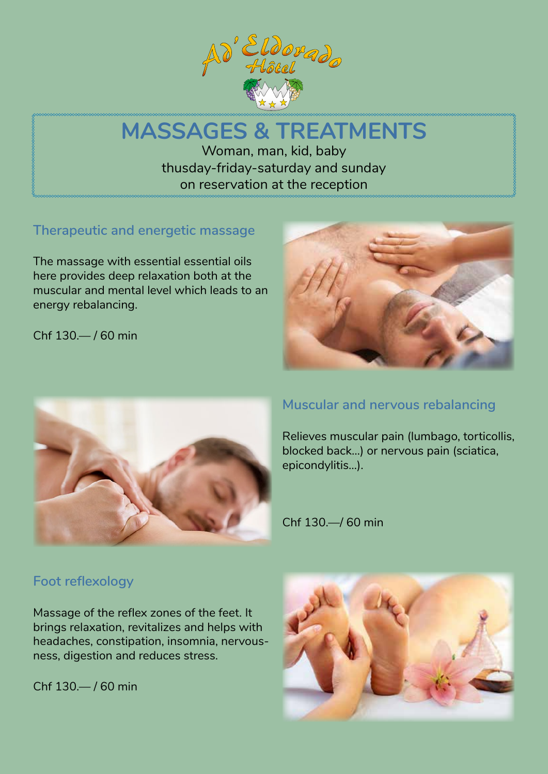

# **MASSAGES & TREATMENTS** Woman, man, kid, baby thusday-friday-saturday and sunday on reservation at the reception

## **Therapeutic and energetic massage**

The massage with essential essential oils here provides deep relaxation both at the muscular and mental level which leads to an energy rebalancing.

Chf 130.— / 60 min





#### **Muscular and nervous rebalancing**

Relieves muscular pain (lumbago, torticollis, blocked back…) or nervous pain (sciatica, epicondylitis…).

Chf 130.—/ 60 min

#### **Foot reflexology**

Massage of the reflex zones of the feet. It brings relaxation, revitalizes and helps with headaches, constipation, insomnia, nervousness, digestion and reduces stress.

Chf 130.— / 60 min